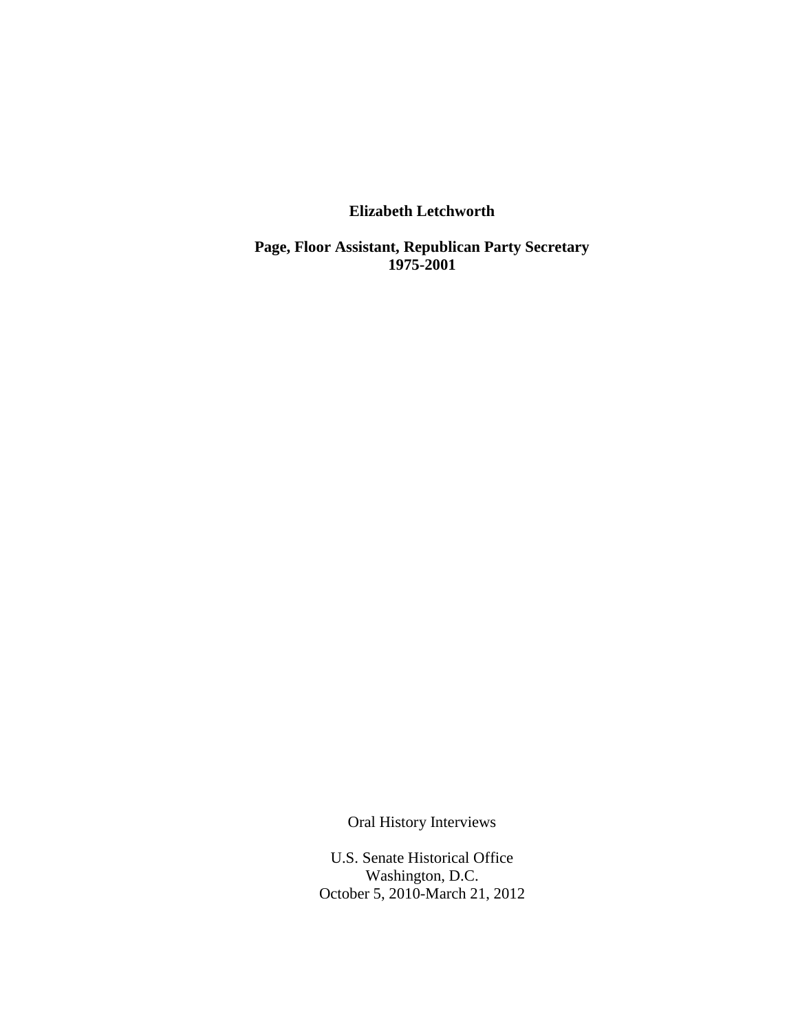**Elizabeth Letchworth**

**Page, Floor Assistant, Republican Party Secretary 1975-2001**

Oral History Interviews

U.S. Senate Historical Office Washington, D.C. October 5, 2010-March 21, 2012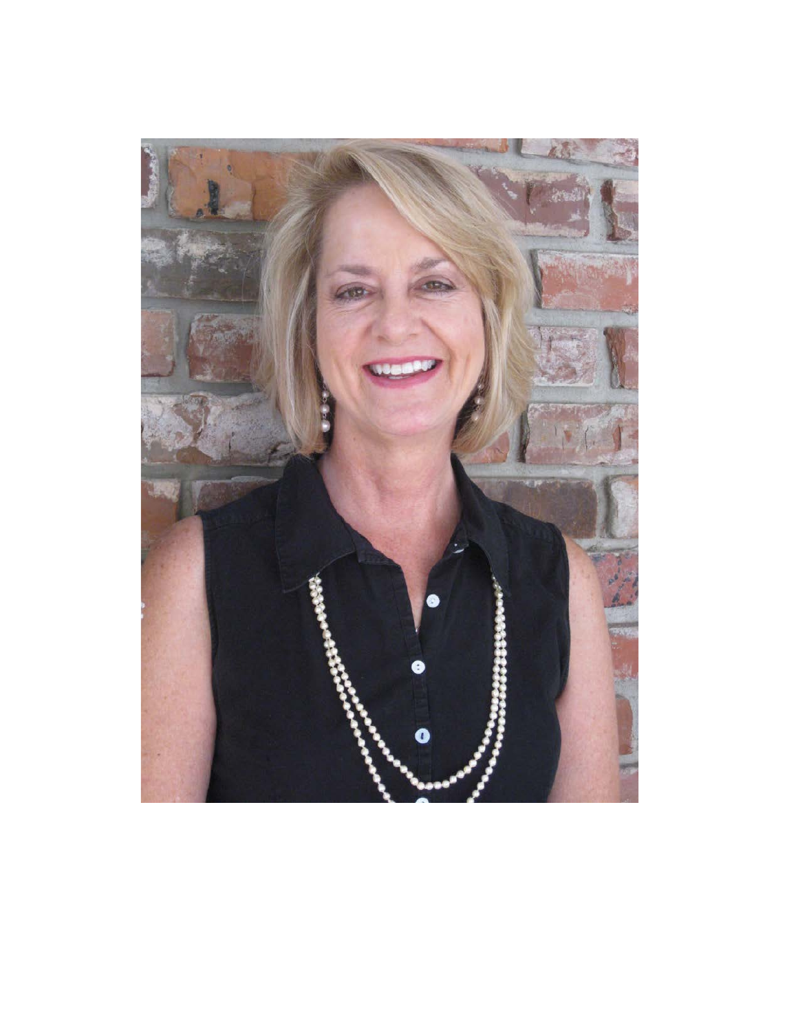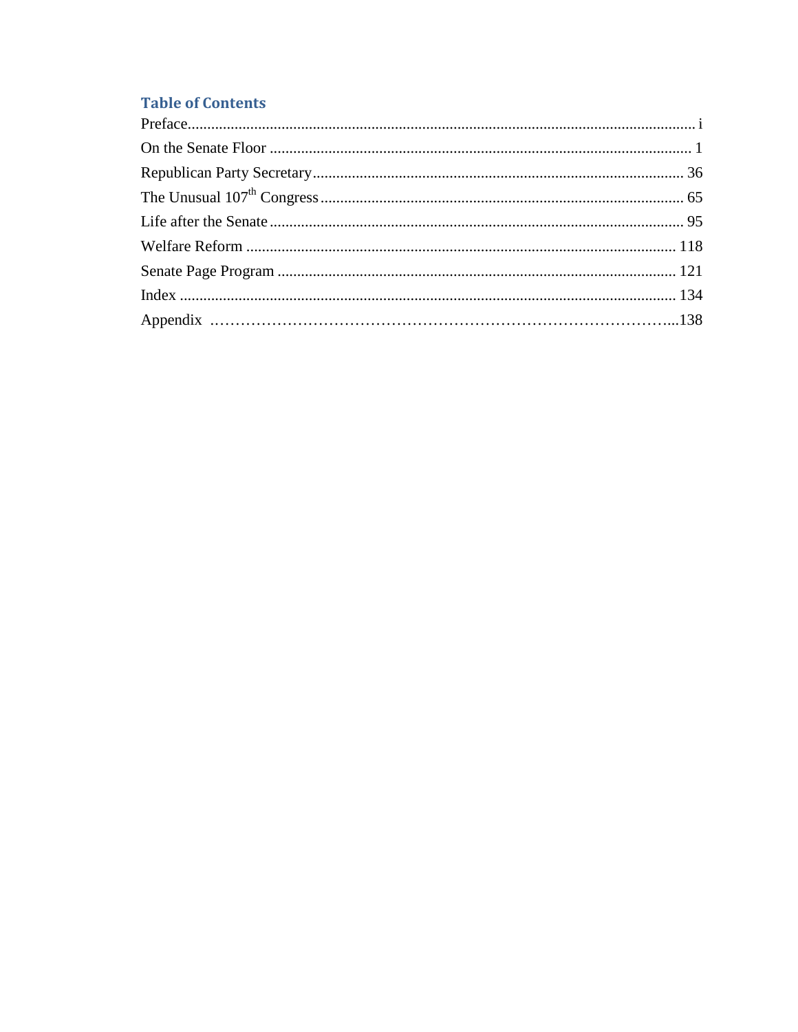## **Table of Contents**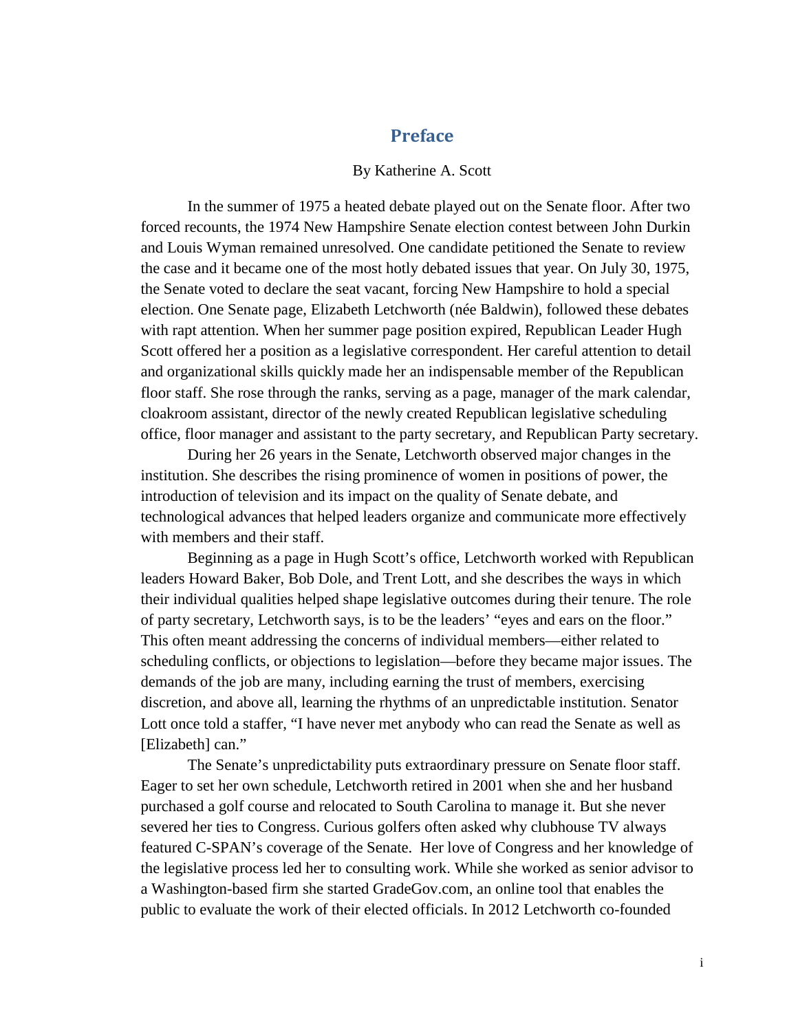## **Preface**

## By Katherine A. Scott

<span id="page-3-0"></span>In the summer of 1975 a heated debate played out on the Senate floor. After two forced recounts, the 1974 New Hampshire Senate election contest between John Durkin and Louis Wyman remained unresolved. One candidate petitioned the Senate to review the case and it became one of the most hotly debated issues that year. On July 30, 1975, the Senate voted to declare the seat vacant, forcing New Hampshire to hold a special election. One Senate page, Elizabeth Letchworth (née Baldwin), followed these debates with rapt attention. When her summer page position expired, Republican Leader Hugh Scott offered her a position as a legislative correspondent. Her careful attention to detail and organizational skills quickly made her an indispensable member of the Republican floor staff. She rose through the ranks, serving as a page, manager of the mark calendar, cloakroom assistant, director of the newly created Republican legislative scheduling office, floor manager and assistant to the party secretary, and Republican Party secretary.

During her 26 years in the Senate, Letchworth observed major changes in the institution. She describes the rising prominence of women in positions of power, the introduction of television and its impact on the quality of Senate debate, and technological advances that helped leaders organize and communicate more effectively with members and their staff.

Beginning as a page in Hugh Scott's office, Letchworth worked with Republican leaders Howard Baker, Bob Dole, and Trent Lott, and she describes the ways in which their individual qualities helped shape legislative outcomes during their tenure. The role of party secretary, Letchworth says, is to be the leaders' "eyes and ears on the floor." This often meant addressing the concerns of individual members—either related to scheduling conflicts, or objections to legislation—before they became major issues. The demands of the job are many, including earning the trust of members, exercising discretion, and above all, learning the rhythms of an unpredictable institution. Senator Lott once told a staffer, "I have never met anybody who can read the Senate as well as [Elizabeth] can."

The Senate's unpredictability puts extraordinary pressure on Senate floor staff. Eager to set her own schedule, Letchworth retired in 2001 when she and her husband purchased a golf course and relocated to South Carolina to manage it. But she never severed her ties to Congress. Curious golfers often asked why clubhouse TV always featured C-SPAN's coverage of the Senate. Her love of Congress and her knowledge of the legislative process led her to consulting work. While she worked as senior advisor to a Washington-based firm she started GradeGov.com, an online tool that enables the public to evaluate the work of their elected officials. In 2012 Letchworth co-founded